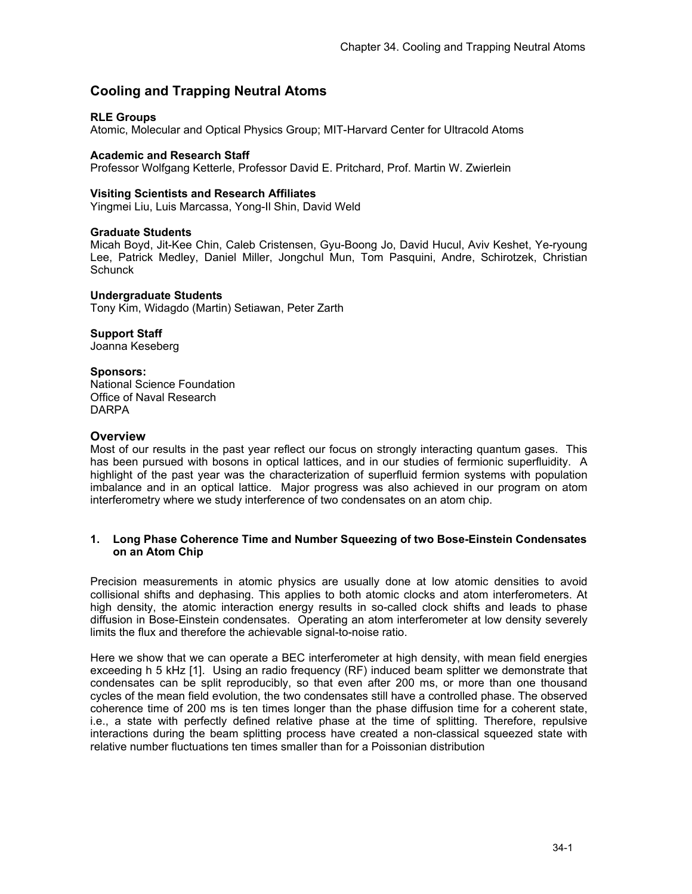# **Cooling and Trapping Neutral Atoms**

# **RLE Groups**

Atomic, Molecular and Optical Physics Group; MIT-Harvard Center for Ultracold Atoms

# **Academic and Research Staff**

Professor Wolfgang Ketterle, Professor David E. Pritchard, Prof. Martin W. Zwierlein

#### **Visiting Scientists and Research Affiliates**

Yingmei Liu, Luis Marcassa, Yong-Il Shin, David Weld

# **Graduate Students**

Micah Boyd, Jit-Kee Chin, Caleb Cristensen, Gyu-Boong Jo, David Hucul, Aviv Keshet, Ye-ryoung Lee, Patrick Medley, Daniel Miller, Jongchul Mun, Tom Pasquini, Andre, Schirotzek, Christian **Schunck** 

#### **Undergraduate Students**

Tony Kim, Widagdo (Martin) Setiawan, Peter Zarth

# **Support Staff**

Joanna Keseberg

# **Sponsors:**

National Science Foundation Office of Naval Research DARPA

# **Overview**

Most of our results in the past year reflect our focus on strongly interacting quantum gases. This has been pursued with bosons in optical lattices, and in our studies of fermionic superfluidity. A highlight of the past year was the characterization of superfluid fermion systems with population imbalance and in an optical lattice. Major progress was also achieved in our program on atom interferometry where we study interference of two condensates on an atom chip.

#### **1. Long Phase Coherence Time and Number Squeezing of two Bose-Einstein Condensates on an Atom Chip**

Precision measurements in atomic physics are usually done at low atomic densities to avoid collisional shifts and dephasing. This applies to both atomic clocks and atom interferometers. At high density, the atomic interaction energy results in so-called clock shifts and leads to phase diffusion in Bose-Einstein condensates. Operating an atom interferometer at low density severely limits the flux and therefore the achievable signal-to-noise ratio.

Here we show that we can operate a BEC interferometer at high density, with mean field energies exceeding h 5 kHz [1]. Using an radio frequency (RF) induced beam splitter we demonstrate that condensates can be split reproducibly, so that even after 200 ms, or more than one thousand cycles of the mean field evolution, the two condensates still have a controlled phase. The observed coherence time of 200 ms is ten times longer than the phase diffusion time for a coherent state, i.e., a state with perfectly defined relative phase at the time of splitting. Therefore, repulsive interactions during the beam splitting process have created a non-classical squeezed state with relative number fluctuations ten times smaller than for a Poissonian distribution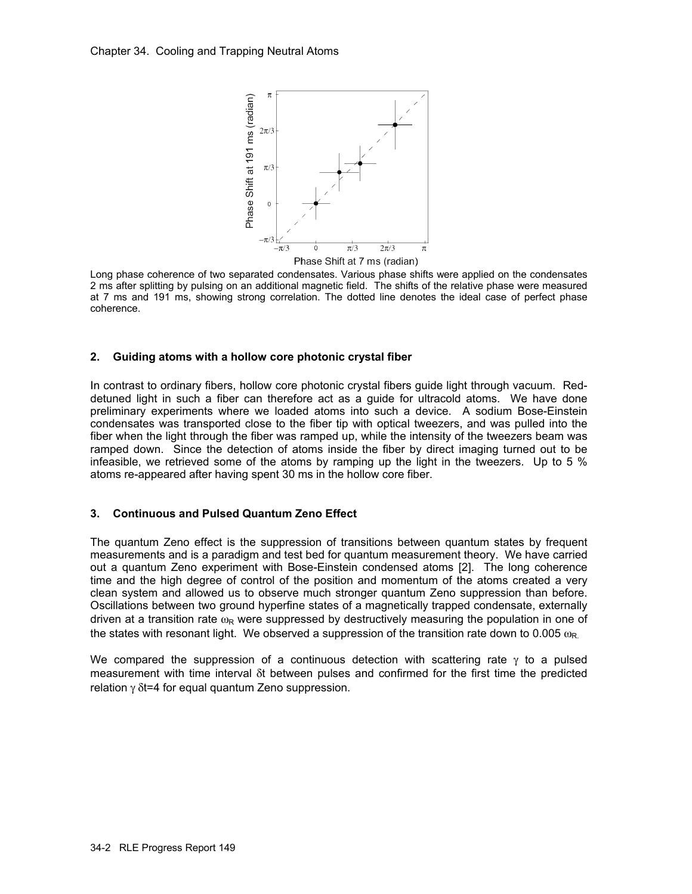

Long phase coherence of two separated condensates. Various phase shifts were applied on the condensates 2 ms after splitting by pulsing on an additional magnetic field. The shifts of the relative phase were measured at 7 ms and 191 ms, showing strong correlation. The dotted line denotes the ideal case of perfect phase coherence.

#### **2. Guiding atoms with a hollow core photonic crystal fiber**

In contrast to ordinary fibers, hollow core photonic crystal fibers guide light through vacuum. Reddetuned light in such a fiber can therefore act as a guide for ultracold atoms. We have done preliminary experiments where we loaded atoms into such a device. A sodium Bose-Einstein condensates was transported close to the fiber tip with optical tweezers, and was pulled into the fiber when the light through the fiber was ramped up, while the intensity of the tweezers beam was ramped down. Since the detection of atoms inside the fiber by direct imaging turned out to be infeasible, we retrieved some of the atoms by ramping up the light in the tweezers. Up to 5 % atoms re-appeared after having spent 30 ms in the hollow core fiber.

# **3. Continuous and Pulsed Quantum Zeno Effect**

The quantum Zeno effect is the suppression of transitions between quantum states by frequent measurements and is a paradigm and test bed for quantum measurement theory. We have carried out a quantum Zeno experiment with Bose-Einstein condensed atoms [2]. The long coherence time and the high degree of control of the position and momentum of the atoms created a very clean system and allowed us to observe much stronger quantum Zeno suppression than before. Oscillations between two ground hyperfine states of a magnetically trapped condensate, externally driven at a transition rate  $\omega_R$  were suppressed by destructively measuring the population in one of the states with resonant light. We observed a suppression of the transition rate down to 0.005  $\omega_{\text{R}}$ .

We compared the suppression of a continuous detection with scattering rate  $\gamma$  to a pulsed measurement with time interval δt between pulses and confirmed for the first time the predicted relation  $\gamma$  δt=4 for equal quantum Zeno suppression.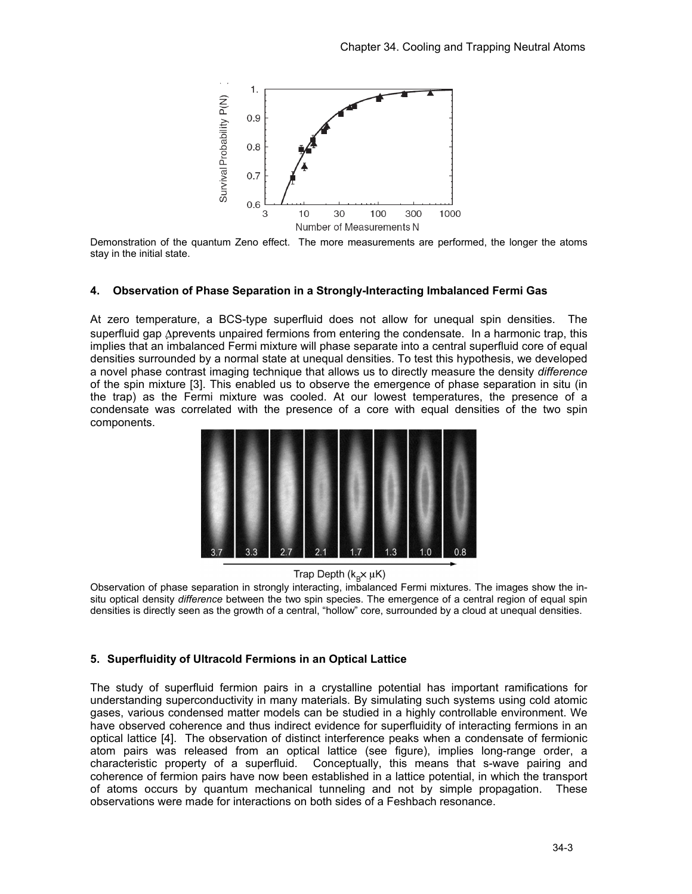

Demonstration of the quantum Zeno effect. The more measurements are performed, the longer the atoms stay in the initial state.

#### **4. Observation of Phase Separation in a Strongly-Interacting Imbalanced Fermi Gas**

At zero temperature, a BCS-type superfluid does not allow for unequal spin densities. The superfluid gap Δprevents unpaired fermions from entering the condensate. In a harmonic trap, this implies that an imbalanced Fermi mixture will phase separate into a central superfluid core of equal densities surrounded by a normal state at unequal densities. To test this hypothesis, we developed a novel phase contrast imaging technique that allows us to directly measure the density *difference* of the spin mixture [3]. This enabled us to observe the emergence of phase separation in situ (in the trap) as the Fermi mixture was cooled. At our lowest temperatures, the presence of a condensate was correlated with the presence of a core with equal densities of the two spin components.



Trap Depth  $(k_{\rm B}x \mu K)$ 

Observation of phase separation in strongly interacting, imbalanced Fermi mixtures. The images show the insitu optical density *difference* between the two spin species. The emergence of a central region of equal spin densities is directly seen as the growth of a central, "hollow" core, surrounded by a cloud at unequal densities.

#### **5. Superfluidity of Ultracold Fermions in an Optical Lattice**

The study of superfluid fermion pairs in a crystalline potential has important ramifications for understanding superconductivity in many materials. By simulating such systems using cold atomic gases, various condensed matter models can be studied in a highly controllable environment. We have observed coherence and thus indirect evidence for superfluidity of interacting fermions in an optical lattice [4]. The observation of distinct interference peaks when a condensate of fermionic atom pairs was released from an optical lattice (see figure), implies long-range order, a characteristic property of a superfluid. Conceptually, this means that s-wave pairing and coherence of fermion pairs have now been established in a lattice potential, in which the transport of atoms occurs by quantum mechanical tunneling and not by simple propagation. These observations were made for interactions on both sides of a Feshbach resonance.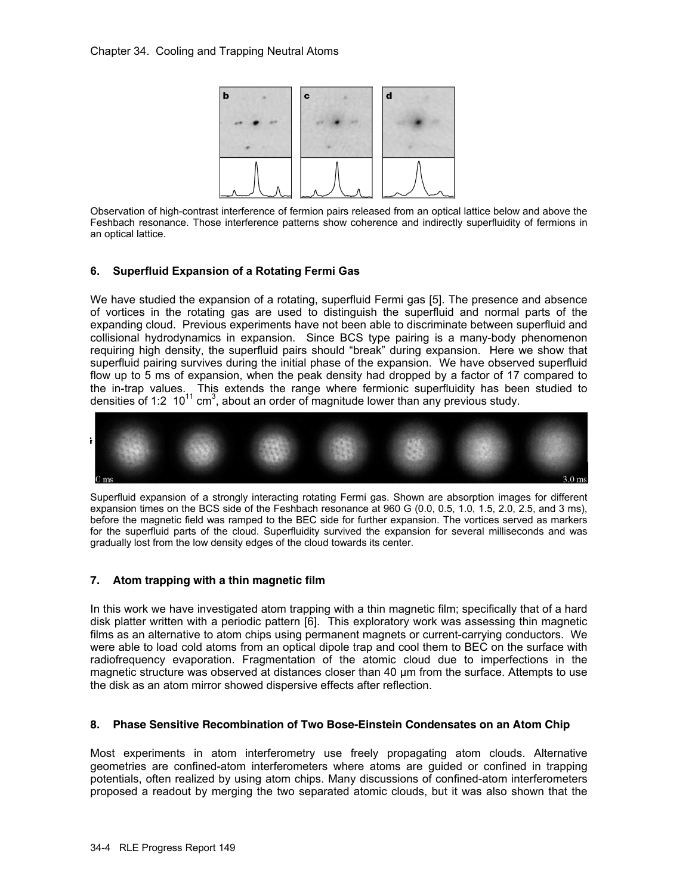

Observation of high-contrast interference of fermion pairs released from an optical lattice below and above the Feshbach resonance. Those interference patterns show coherence and indirectly superfluidity of fermions in an optical lattice.

#### **6. Superfluid Expansion of a Rotating Fermi Gas**

We have studied the expansion of a rotating, superfluid Fermi gas [5]. The presence and absence of vortices in the rotating gas are used to distinguish the superfluid and normal parts of the expanding cloud. Previous experiments have not been able to discriminate between superfluid and collisional hydrodynamics in expansion. Since BCS type pairing is a many-body phenomenon requiring high density, the superfluid pairs should "break" during expansion. Here we show that superfluid pairing survives during the initial phase of the expansion. We have observed superfluid flow up to 5 ms of expansion, when the peak density had dropped by a factor of 17 compared to the in-trap values. This extends the range where fermionic superfluidity has been studied to densities of 1:2  $10^{11}$  cm<sup>3</sup>, about an order of magnitude lower than any previous study.



Superfluid expansion of a strongly interacting rotating Fermi gas. Shown are absorption images for different expansion times on the BCS side of the Feshbach resonance at 960 G (0.0, 0.5, 1.0, 1.5, 2.0, 2.5, and 3 ms), before the magnetic field was ramped to the BEC side for further expansion. The vortices served as markers for the superfluid parts of the cloud. Superfluidity survived the expansion for several milliseconds and was gradually lost from the low density edges of the cloud towards its center.

#### **7. Atom trapping with a thin magnetic film**

In this work we have investigated atom trapping with a thin magnetic film; specifically that of a hard disk platter written with a periodic pattern [6]. This exploratory work was assessing thin magnetic films as an alternative to atom chips using permanent magnets or current-carrying conductors. We were able to load cold atoms from an optical dipole trap and cool them to BEC on the surface with radiofrequency evaporation. Fragmentation of the atomic cloud due to imperfections in the magnetic structure was observed at distances closer than 40 µm from the surface. Attempts to use the disk as an atom mirror showed dispersive effects after reflection.

#### **8. Phase Sensitive Recombination of Two Bose-Einstein Condensates on an Atom Chip**

Most experiments in atom interferometry use freely propagating atom clouds. Alternative geometries are confined-atom interferometers where atoms are guided or confined in trapping potentials, often realized by using atom chips. Many discussions of confined-atom interferometers proposed a readout by merging the two separated atomic clouds, but it was also shown that the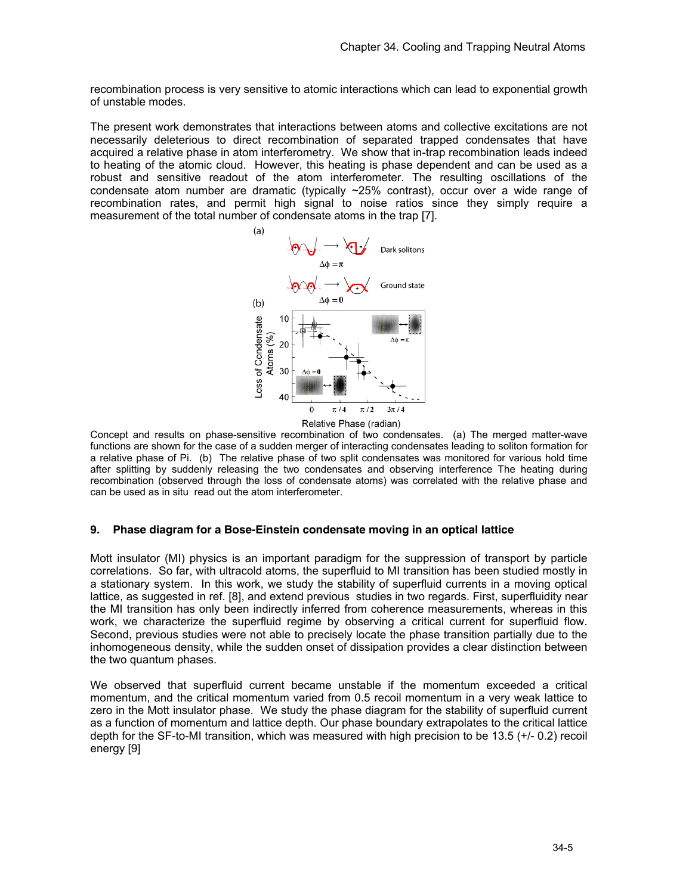recombination process is very sensitive to atomic interactions which can lead to exponential growth of unstable modes.

The present work demonstrates that interactions between atoms and collective excitations are not necessarily deleterious to direct recombination of separated trapped condensates that have acquired a relative phase in atom interferometry. We show that in-trap recombination leads indeed to heating of the atomic cloud. However, this heating is phase dependent and can be used as a robust and sensitive readout of the atom interferometer. The resulting oscillations of the condensate atom number are dramatic (typically  $\sim$ 25% contrast), occur over a wide range of recombination rates, and permit high signal to noise ratios since they simply require a measurement of the total number of condensate atoms in the trap [7].



Concept and results on phase-sensitive recombination of two condensates. (a) The merged matter-wave functions are shown for the case of a sudden merger of interacting condensates leading to soliton formation for a relative phase of Pi. (b) The relative phase of two split condensates was monitored for various hold time after splitting by suddenly releasing the two condensates and observing interference The heating during recombination (observed through the loss of condensate atoms) was correlated with the relative phase and can be used as in situ read out the atom interferometer.

#### **9. Phase diagram for a Bose-Einstein condensate moving in an optical lattice**

Mott insulator (MI) physics is an important paradigm for the suppression of transport by particle correlations. So far, with ultracold atoms, the superfluid to MI transition has been studied mostly in a stationary system. In this work, we study the stability of superfluid currents in a moving optical lattice, as suggested in ref. [8], and extend previous studies in two regards. First, superfluidity near the MI transition has only been indirectly inferred from coherence measurements, whereas in this work, we characterize the superfluid regime by observing a critical current for superfluid flow. Second, previous studies were not able to precisely locate the phase transition partially due to the inhomogeneous density, while the sudden onset of dissipation provides a clear distinction between the two quantum phases.

We observed that superfluid current became unstable if the momentum exceeded a critical momentum, and the critical momentum varied from 0.5 recoil momentum in a very weak lattice to zero in the Mott insulator phase. We study the phase diagram for the stability of superfluid current as a function of momentum and lattice depth. Our phase boundary extrapolates to the critical lattice depth for the SF-to-MI transition, which was measured with high precision to be 13.5 (+/- 0.2) recoil energy [9]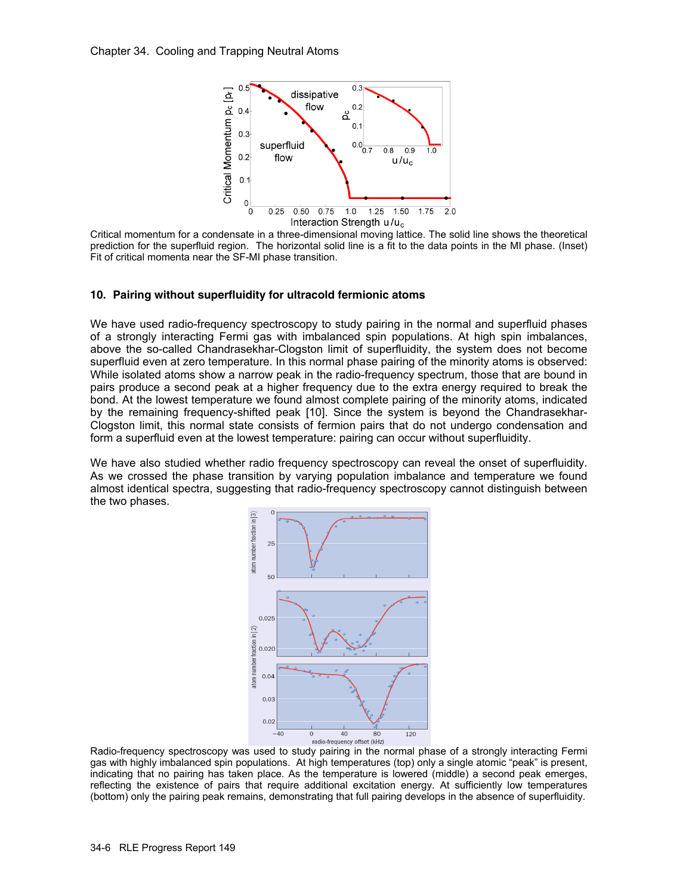

Critical momentum for a condensate in a three-dimensional moving lattice. The solid line shows the theoretical prediction for the superfluid region. The horizontal solid line is a fit to the data points in the MI phase. (Inset) Fit of critical momenta near the SF-MI phase transition.

#### **10. Pairing without superfluidity for ultracold fermionic atoms**

We have used radio-frequency spectroscopy to study pairing in the normal and superfluid phases of a strongly interacting Fermi gas with imbalanced spin populations. At high spin imbalances, above the so-called Chandrasekhar-Clogston limit of superfluidity, the system does not become superfluid even at zero temperature. In this normal phase pairing of the minority atoms is observed: While isolated atoms show a narrow peak in the radio-frequency spectrum, those that are bound in pairs produce a second peak at a higher frequency due to the extra energy required to break the bond. At the lowest temperature we found almost complete pairing of the minority atoms, indicated by the remaining frequency-shifted peak [10]. Since the system is beyond the Chandrasekhar-Clogston limit, this normal state consists of fermion pairs that do not undergo condensation and form a superfluid even at the lowest temperature: pairing can occur without superfluidity.

We have also studied whether radio frequency spectroscopy can reveal the onset of superfluidity. As we crossed the phase transition by varying population imbalance and temperature we found almost identical spectra, suggesting that radio-frequency spectroscopy cannot distinguish between the two phases.



Radio-frequency spectroscopy was used to study pairing in the normal phase of a strongly interacting Fermi gas with highly imbalanced spin populations. At high temperatures (top) only a single atomic "peak" is present, indicating that no pairing has taken place. As the temperature is lowered (middle) a second peak emerges, reflecting the existence of pairs that require additional excitation energy. At sufficiently low temperatures (bottom) only the pairing peak remains, demonstrating that full pairing develops in the absence of superfluidity.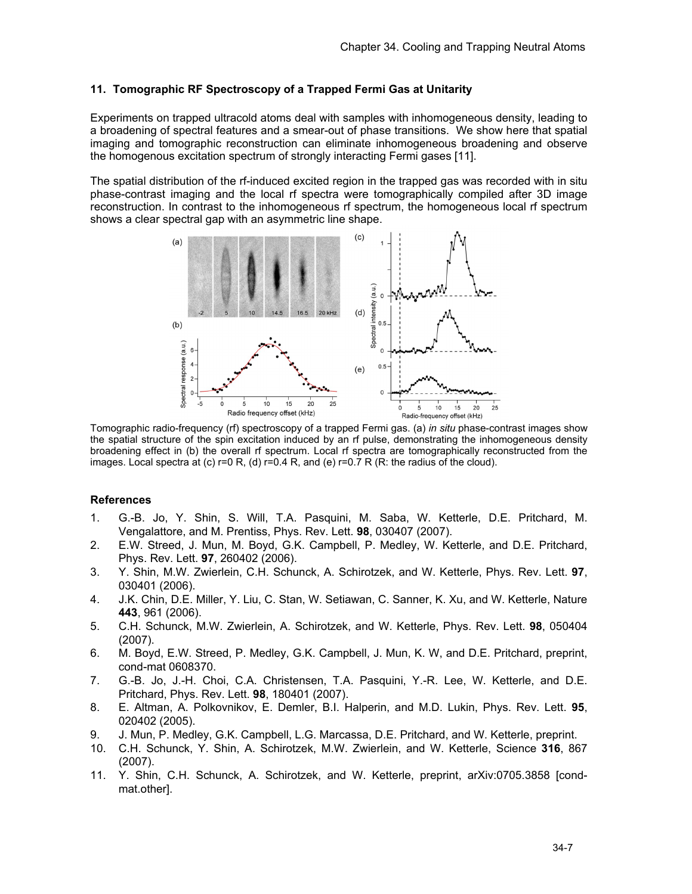#### **11. Tomographic RF Spectroscopy of a Trapped Fermi Gas at Unitarity**

Experiments on trapped ultracold atoms deal with samples with inhomogeneous density, leading to a broadening of spectral features and a smear-out of phase transitions. We show here that spatial imaging and tomographic reconstruction can eliminate inhomogeneous broadening and observe the homogenous excitation spectrum of strongly interacting Fermi gases [11].

The spatial distribution of the rf-induced excited region in the trapped gas was recorded with in situ phase-contrast imaging and the local rf spectra were tomographically compiled after 3D image reconstruction. In contrast to the inhomogeneous rf spectrum, the homogeneous local rf spectrum shows a clear spectral gap with an asymmetric line shape.



Tomographic radio-frequency (rf) spectroscopy of a trapped Fermi gas. (a) *in situ* phase-contrast images show the spatial structure of the spin excitation induced by an rf pulse, demonstrating the inhomogeneous density broadening effect in (b) the overall rf spectrum. Local rf spectra are tomographically reconstructed from the images. Local spectra at (c)  $r=0$  R, (d)  $r=0.4$  R, and (e)  $r=0.7$  R (R: the radius of the cloud).

#### **References**

- 1. G.-B. Jo, Y. Shin, S. Will, T.A. Pasquini, M. Saba, W. Ketterle, D.E. Pritchard, M. Vengalattore, and M. Prentiss, Phys. Rev. Lett. **98**, 030407 (2007).
- 2. E.W. Streed, J. Mun, M. Boyd, G.K. Campbell, P. Medley, W. Ketterle, and D.E. Pritchard, Phys. Rev. Lett. **97**, 260402 (2006).
- 3. Y. Shin, M.W. Zwierlein, C.H. Schunck, A. Schirotzek, and W. Ketterle, Phys. Rev. Lett. **97**, 030401 (2006).
- 4. J.K. Chin, D.E. Miller, Y. Liu, C. Stan, W. Setiawan, C. Sanner, K. Xu, and W. Ketterle, Nature **443**, 961 (2006).
- 5. C.H. Schunck, M.W. Zwierlein, A. Schirotzek, and W. Ketterle, Phys. Rev. Lett. **98**, 050404 (2007).
- 6. M. Boyd, E.W. Streed, P. Medley, G.K. Campbell, J. Mun, K. W, and D.E. Pritchard, preprint, cond-mat 0608370.
- 7. G.-B. Jo, J.-H. Choi, C.A. Christensen, T.A. Pasquini, Y.-R. Lee, W. Ketterle, and D.E. Pritchard, Phys. Rev. Lett. **98**, 180401 (2007).
- 8. E. Altman, A. Polkovnikov, E. Demler, B.I. Halperin, and M.D. Lukin, Phys. Rev. Lett. **95**, 020402 (2005).
- 9. J. Mun, P. Medley, G.K. Campbell, L.G. Marcassa, D.E. Pritchard, and W. Ketterle, preprint.
- 10. C.H. Schunck, Y. Shin, A. Schirotzek, M.W. Zwierlein, and W. Ketterle, Science **316**, 867 (2007).
- 11. Y. Shin, C.H. Schunck, A. Schirotzek, and W. Ketterle, preprint, arXiv:0705.3858 [condmat.other].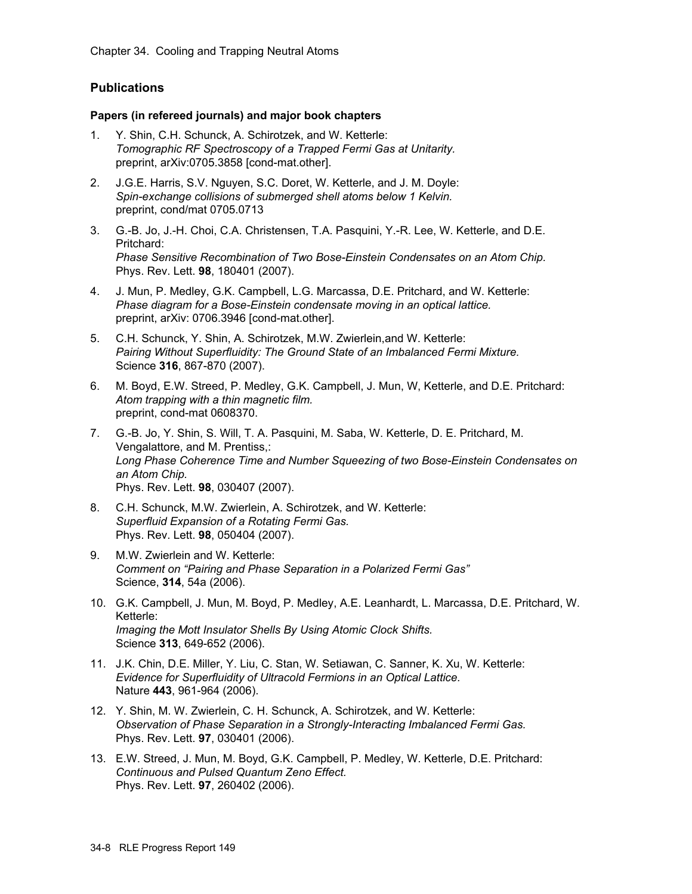# **Publications**

# **Papers (in refereed journals) and major book chapters**

- 1. Y. Shin, C.H. Schunck, A. Schirotzek, and W. Ketterle: *Tomographic RF Spectroscopy of a Trapped Fermi Gas at Unitarity.*  preprint, arXiv:0705.3858 [cond-mat.other].
- 2. J.G.E. Harris, S.V. Nguyen, S.C. Doret, W. Ketterle, and J. M. Doyle: *Spin-exchange collisions of submerged shell atoms below 1 Kelvin.*  preprint, cond/mat 0705.0713
- 3. G.-B. Jo, J.-H. Choi, C.A. Christensen, T.A. Pasquini, Y.-R. Lee, W. Ketterle, and D.E. Pritchard: *Phase Sensitive Recombination of Two Bose-Einstein Condensates on an Atom Chip.*  Phys. Rev. Lett. **98**, 180401 (2007).
- 4. J. Mun, P. Medley, G.K. Campbell, L.G. Marcassa, D.E. Pritchard, and W. Ketterle: *Phase diagram for a Bose-Einstein condensate moving in an optical lattice.*  preprint, arXiv: 0706.3946 [cond-mat.other].
- 5. C.H. Schunck, Y. Shin, A. Schirotzek, M.W. Zwierlein,and W. Ketterle: *Pairing Without Superfluidity: The Ground State of an Imbalanced Fermi Mixture.*  Science **316**, 867-870 (2007).
- 6. M. Boyd, E.W. Streed, P. Medley, G.K. Campbell, J. Mun, W, Ketterle, and D.E. Pritchard: *Atom trapping with a thin magnetic film.* preprint, cond-mat 0608370.
- 7. G.-B. Jo, Y. Shin, S. Will, T. A. Pasquini, M. Saba, W. Ketterle, D. E. Pritchard, M. Vengalattore, and M. Prentiss,: *Long Phase Coherence Time and Number Squeezing of two Bose-Einstein Condensates on an Atom Chip.* Phys. Rev. Lett. **98**, 030407 (2007).
- 8. C.H. Schunck, M.W. Zwierlein, A. Schirotzek, and W. Ketterle: *Superfluid Expansion of a Rotating Fermi Gas.*  Phys. Rev. Lett. **98**, 050404 (2007).
- 9. M.W. Zwierlein and W. Ketterle: *Comment on "Pairing and Phase Separation in a Polarized Fermi Gas"*  Science, **314**, 54a (2006).
- 10. G.K. Campbell, J. Mun, M. Boyd, P. Medley, A.E. Leanhardt, L. Marcassa, D.E. Pritchard, W. Ketterle: *Imaging the Mott Insulator Shells By Using Atomic Clock Shifts.*  Science **313**, 649-652 (2006).
- 11. J.K. Chin, D.E. Miller, Y. Liu, C. Stan, W. Setiawan, C. Sanner, K. Xu, W. Ketterle: *Evidence for Superfluidity of Ultracold Fermions in an Optical Lattice.*  Nature **443**, 961-964 (2006).
- 12. Y. Shin, M. W. Zwierlein, C. H. Schunck, A. Schirotzek, and W. Ketterle: *Observation of Phase Separation in a Strongly-Interacting Imbalanced Fermi Gas.*  Phys. Rev. Lett. **97**, 030401 (2006).
- 13. E.W. Streed, J. Mun, M. Boyd, G.K. Campbell, P. Medley, W. Ketterle, D.E. Pritchard: *Continuous and Pulsed Quantum Zeno Effect.*  Phys. Rev. Lett. **97**, 260402 (2006).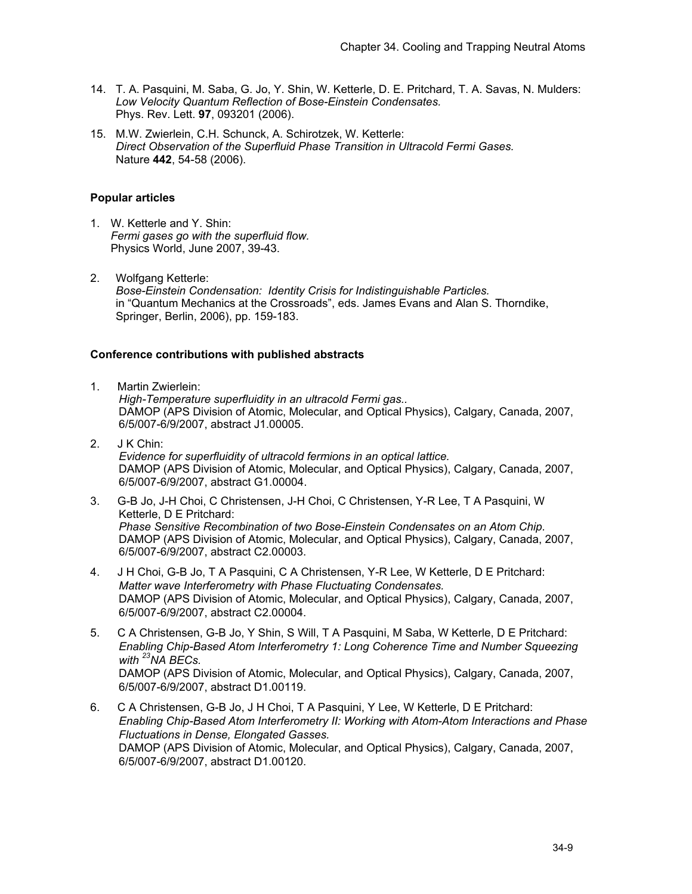- 14. T. A. Pasquini, M. Saba, G. Jo, Y. Shin, W. Ketterle, D. E. Pritchard, T. A. Savas, N. Mulders: *Low Velocity Quantum Reflection of Bose-Einstein Condensates.*  Phys. Rev. Lett. **97**, 093201 (2006).
- 15. M.W. Zwierlein, C.H. Schunck, A. Schirotzek, W. Ketterle: *Direct Observation of the Superfluid Phase Transition in Ultracold Fermi Gases.*  Nature **442**, 54-58 (2006).

# **Popular articles**

- 1. W. Ketterle and Y. Shin: *Fermi gases go with the superfluid flow.*  Physics World, June 2007, 39-43.
- 2. Wolfgang Ketterle: *Bose-Einstein Condensation: Identity Crisis for Indistinguishable Particles.*  in "Quantum Mechanics at the Crossroads", eds. James Evans and Alan S. Thorndike, Springer, Berlin, 2006), pp. 159-183.

# **Conference contributions with published abstracts**

1. Martin Zwierlein:

*High-Temperature superfluidity in an ultracold Fermi gas..*  DAMOP (APS Division of Atomic, Molecular, and Optical Physics), Calgary, Canada, 2007, 6/5/007-6/9/2007, abstract J1.00005.

- 2. J K Chin: *Evidence for superfluidity of ultracold fermions in an optical lattice.*  DAMOP (APS Division of Atomic, Molecular, and Optical Physics), Calgary, Canada, 2007, 6/5/007-6/9/2007, abstract G1.00004.
- 3. G-B Jo, J-H Choi, C Christensen, J-H Choi, C Christensen, Y-R Lee, T A Pasquini, W Ketterle, D E Pritchard: *Phase Sensitive Recombination of two Bose-Einstein Condensates on an Atom Chip.*  DAMOP (APS Division of Atomic, Molecular, and Optical Physics), Calgary, Canada, 2007, 6/5/007-6/9/2007, abstract C2.00003.
- 4. J H Choi, G-B Jo, T A Pasquini, C A Christensen, Y-R Lee, W Ketterle, D E Pritchard: *Matter wave Interferometry with Phase Fluctuating Condensates.*  DAMOP (APS Division of Atomic, Molecular, and Optical Physics), Calgary, Canada, 2007, 6/5/007-6/9/2007, abstract C2.00004.
- 5. C A Christensen, G-B Jo, Y Shin, S Will, T A Pasquini, M Saba, W Ketterle, D E Pritchard: *Enabling Chip-Based Atom Interferometry 1: Long Coherence Time and Number Squeezing with 23NA BECs.*  DAMOP (APS Division of Atomic, Molecular, and Optical Physics), Calgary, Canada, 2007, 6/5/007-6/9/2007, abstract D1.00119.
- 6. C A Christensen, G-B Jo, J H Choi, T A Pasquini, Y Lee, W Ketterle, D E Pritchard: *Enabling Chip-Based Atom Interferometry II: Working with Atom-Atom Interactions and Phase Fluctuations in Dense, Elongated Gasses.*  DAMOP (APS Division of Atomic, Molecular, and Optical Physics), Calgary, Canada, 2007, 6/5/007-6/9/2007, abstract D1.00120.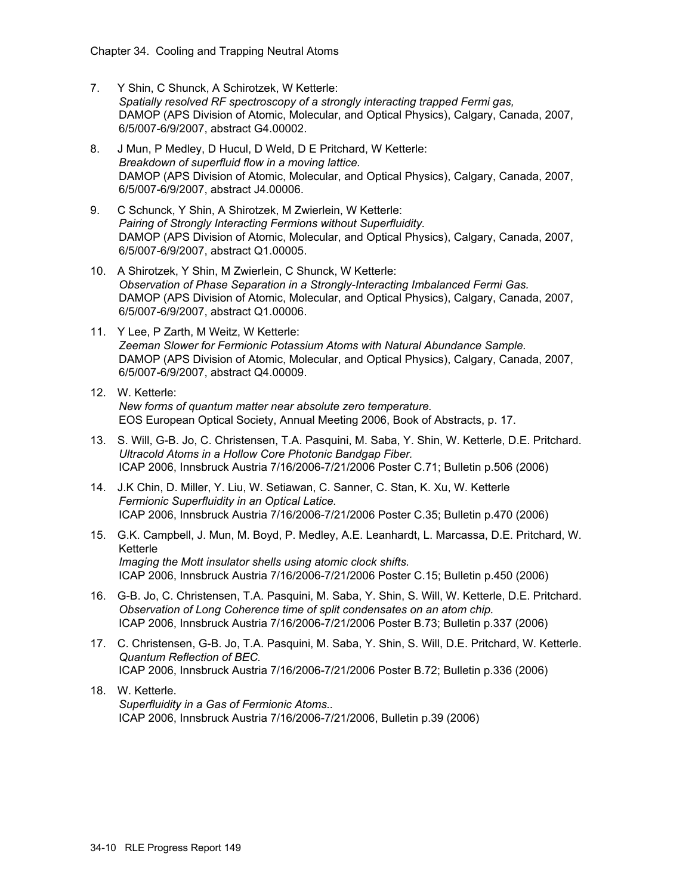- 7. Y Shin, C Shunck, A Schirotzek, W Ketterle: *Spatially resolved RF spectroscopy of a strongly interacting trapped Fermi gas,*  DAMOP (APS Division of Atomic, Molecular, and Optical Physics), Calgary, Canada, 2007, 6/5/007-6/9/2007, abstract G4.00002.
- 8. J Mun, P Medley, D Hucul, D Weld, D E Pritchard, W Ketterle: *Breakdown of superfluid flow in a moving lattice.*  DAMOP (APS Division of Atomic, Molecular, and Optical Physics), Calgary, Canada, 2007, 6/5/007-6/9/2007, abstract J4.00006.
- 9. C Schunck, Y Shin, A Shirotzek, M Zwierlein, W Ketterle: *Pairing of Strongly Interacting Fermions without Superfluidity.*  DAMOP (APS Division of Atomic, Molecular, and Optical Physics), Calgary, Canada, 2007, 6/5/007-6/9/2007, abstract Q1.00005.
- 10. A Shirotzek, Y Shin, M Zwierlein, C Shunck, W Ketterle: *Observation of Phase Separation in a Strongly-Interacting Imbalanced Fermi Gas.*  DAMOP (APS Division of Atomic, Molecular, and Optical Physics), Calgary, Canada, 2007, 6/5/007-6/9/2007, abstract Q1.00006.
- 11. Y Lee, P Zarth, M Weitz, W Ketterle: *Zeeman Slower for Fermionic Potassium Atoms with Natural Abundance Sample.*  DAMOP (APS Division of Atomic, Molecular, and Optical Physics), Calgary, Canada, 2007, 6/5/007-6/9/2007, abstract Q4.00009.
- 12. W. Ketterle: *New forms of quantum matter near absolute zero temperature.*  EOS European Optical Society, Annual Meeting 2006, Book of Abstracts, p. 17.
- 13. S. Will, G-B. Jo, C. Christensen, T.A. Pasquini, M. Saba, Y. Shin, W. Ketterle, D.E. Pritchard. *Ultracold Atoms in a Hollow Core Photonic Bandgap Fiber.* ICAP 2006, Innsbruck Austria 7/16/2006-7/21/2006 Poster C.71; Bulletin p.506 (2006)
- 14. J.K Chin, D. Miller, Y. Liu, W. Setiawan, C. Sanner, C. Stan, K. Xu, W. Ketterle *Fermionic Superfluidity in an Optical Latice.* ICAP 2006, Innsbruck Austria 7/16/2006-7/21/2006 Poster C.35; Bulletin p.470 (2006)
- 15. G.K. Campbell, J. Mun, M. Boyd, P. Medley, A.E. Leanhardt, L. Marcassa, D.E. Pritchard, W. Ketterle *Imaging the Mott insulator shells using atomic clock shifts.* ICAP 2006, Innsbruck Austria 7/16/2006-7/21/2006 Poster C.15; Bulletin p.450 (2006)
- 16. G-B. Jo, C. Christensen, T.A. Pasquini, M. Saba, Y. Shin, S. Will, W. Ketterle, D.E. Pritchard. *Observation of Long Coherence time of split condensates on an atom chip.*  ICAP 2006, Innsbruck Austria 7/16/2006-7/21/2006 Poster B.73; Bulletin p.337 (2006)
- 17. C. Christensen, G-B. Jo, T.A. Pasquini, M. Saba, Y. Shin, S. Will, D.E. Pritchard, W. Ketterle. *Quantum Reflection of BEC.* ICAP 2006, Innsbruck Austria 7/16/2006-7/21/2006 Poster B.72; Bulletin p.336 (2006)
- 18. W. Ketterle. *Superfluidity in a Gas of Fermionic Atoms..* ICAP 2006, Innsbruck Austria 7/16/2006-7/21/2006, Bulletin p.39 (2006)